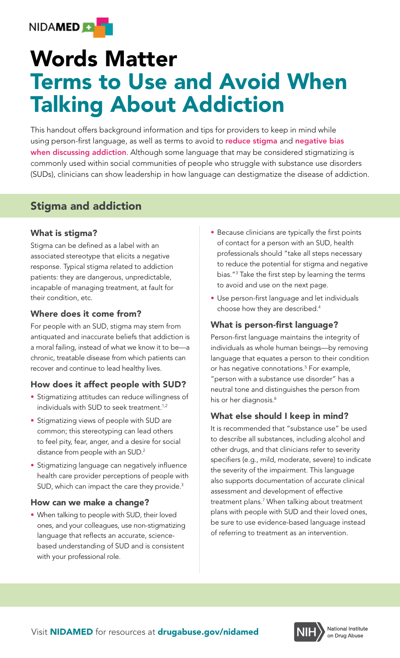

# Words Matter Terms to Use and Avoid When Talking About Addiction

using person-first language, as well as terms to avoid to **reduce stigma** and **negative bias** This handout offers background information and tips for providers to keep in mind while when discussing addiction. Although some language that may be considered stigmatizing is commonly used within social communities of people who struggle with substance use disorders (SUDs), clinicians can show leadership in how language can destigmatize the disease of addiction.

## Stigma and addiction

### What is stigma?

Stigma can be defined as a label with an associated stereotype that elicits a negative response. Typical stigma related to addiction patients: they are dangerous, unpredictable, incapable of managing treatment, at fault for their condition, etc.

### Where does it come from?

For people with an SUD, stigma may stem from antiquated and inaccurate beliefs that addiction is a moral failing, instead of what we know it to be—a chronic, treatable disease from which patients can recover and continue to lead healthy lives.

### How does it affect people with SUD?

- Stigmatizing attitudes can reduce willingness of individuals with SUD to seek treatment.<sup>1,2</sup>
- Stigmatizing views of people with SUD are common; this stereotyping can lead others to feel pity, fear, anger, and a desire for social distance from people with an SUD.<sup>2</sup>
- Stigmatizing language can negatively influence health care provider perceptions of people with SUD, which can impact the care they provide.<sup>3</sup>

#### How can we make a change?

• When talking to people with SUD, their loved ones, and your colleagues, use non-stigmatizing language that reflects an accurate, sciencebased understanding of SUD and is consistent with your professional role.

- Because clinicians are typically the first points of contact for a person with an SUD, health professionals should "take all steps necessary to reduce the potential for stigma and negative bias."3 Take the first step by learning the terms to avoid and use on the next page.
- Use person-first language and let individuals choose how they are described.4

#### What is person-first language?

Person-first language maintains the integrity of individuals as whole human beings—by removing language that equates a person to their condition or has negative connotations.5 For example, "person with a substance use disorder" has a neutral tone and distinguishes the person from his or her diagnosis.<sup>6</sup>

### What else should I keep in mind?

It is recommended that "substance use" be used to describe all substances, including alcohol and other drugs, and that clinicians refer to severity specifiers (e.g., mild, moderate, severe) to indicate the severity of the impairment. This language also supports documentation of accurate clinical assessment and development of effective treatment plans.7 When talking about treatment plans with people with SUD and their loved ones, be sure to use evidence-based language instead of referring to treatment as an intervention.